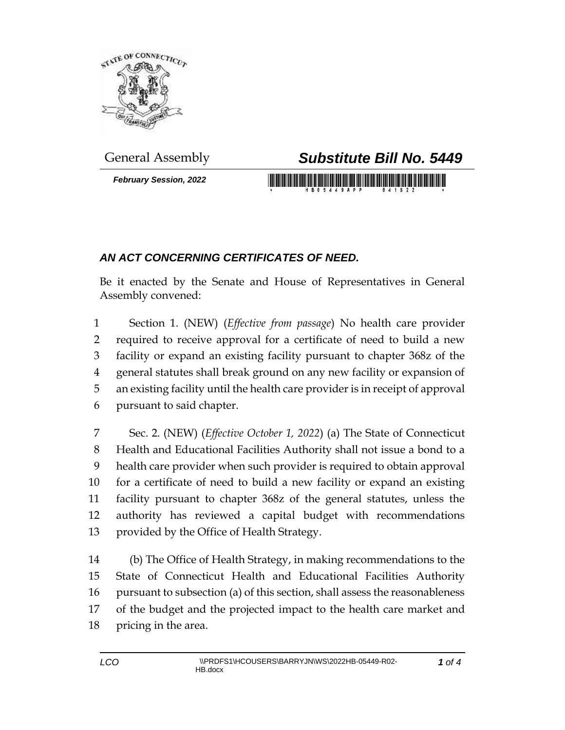

*February Session, 2022*

## General Assembly *Substitute Bill No. 5449*

<u> 1999 - Andrea Brasilian Andrew Maria Maria III a Brasilian a Brasilian a Brasilian a Brasilian a Brasilian a </u>

## *AN ACT CONCERNING CERTIFICATES OF NEED.*

Be it enacted by the Senate and House of Representatives in General Assembly convened:

 Section 1. (NEW) (*Effective from passage*) No health care provider required to receive approval for a certificate of need to build a new facility or expand an existing facility pursuant to chapter 368z of the general statutes shall break ground on any new facility or expansion of an existing facility until the health care provider is in receipt of approval pursuant to said chapter.

 Sec. 2. (NEW) (*Effective October 1, 2022*) (a) The State of Connecticut Health and Educational Facilities Authority shall not issue a bond to a health care provider when such provider is required to obtain approval for a certificate of need to build a new facility or expand an existing facility pursuant to chapter 368z of the general statutes, unless the authority has reviewed a capital budget with recommendations provided by the Office of Health Strategy.

 (b) The Office of Health Strategy, in making recommendations to the State of Connecticut Health and Educational Facilities Authority pursuant to subsection (a) of this section, shall assess the reasonableness of the budget and the projected impact to the health care market and pricing in the area.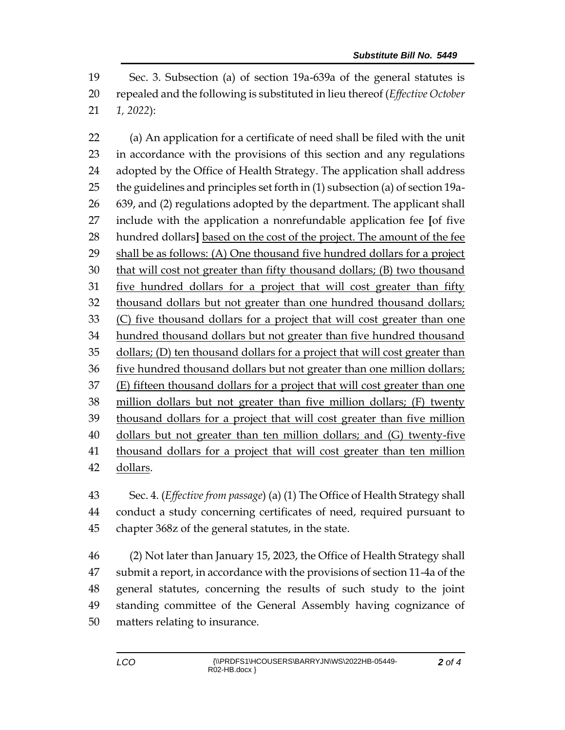Sec. 3. Subsection (a) of section 19a-639a of the general statutes is repealed and the following is substituted in lieu thereof (*Effective October 1, 2022*):

 (a) An application for a certificate of need shall be filed with the unit in accordance with the provisions of this section and any regulations adopted by the Office of Health Strategy. The application shall address the guidelines and principles set forth in (1) subsection (a) of section 19a- 639, and (2) regulations adopted by the department. The applicant shall include with the application a nonrefundable application fee **[**of five hundred dollars**]** based on the cost of the project. The amount of the fee shall be as follows: (A) One thousand five hundred dollars for a project that will cost not greater than fifty thousand dollars; (B) two thousand five hundred dollars for a project that will cost greater than fifty thousand dollars but not greater than one hundred thousand dollars; (C) five thousand dollars for a project that will cost greater than one hundred thousand dollars but not greater than five hundred thousand dollars; (D) ten thousand dollars for a project that will cost greater than five hundred thousand dollars but not greater than one million dollars; (E) fifteen thousand dollars for a project that will cost greater than one million dollars but not greater than five million dollars; (F) twenty thousand dollars for a project that will cost greater than five million dollars but not greater than ten million dollars; and (G) twenty-five thousand dollars for a project that will cost greater than ten million dollars.

 Sec. 4. (*Effective from passage*) (a) (1) The Office of Health Strategy shall conduct a study concerning certificates of need, required pursuant to chapter 368z of the general statutes, in the state.

 (2) Not later than January 15, 2023, the Office of Health Strategy shall submit a report, in accordance with the provisions of section 11-4a of the general statutes, concerning the results of such study to the joint standing committee of the General Assembly having cognizance of matters relating to insurance.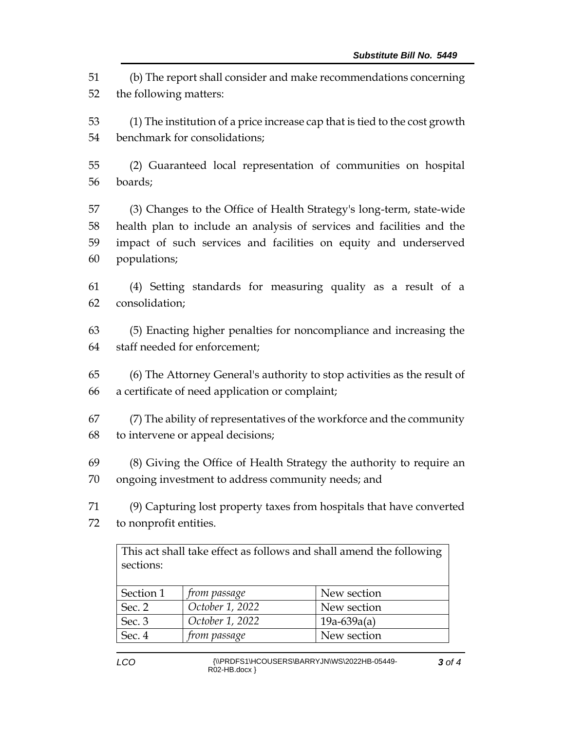(b) The report shall consider and make recommendations concerning the following matters:

 (1) The institution of a price increase cap that is tied to the cost growth benchmark for consolidations;

 (2) Guaranteed local representation of communities on hospital boards;

 (3) Changes to the Office of Health Strategy's long-term, state-wide health plan to include an analysis of services and facilities and the impact of such services and facilities on equity and underserved populations;

 (4) Setting standards for measuring quality as a result of a consolidation;

 (5) Enacting higher penalties for noncompliance and increasing the staff needed for enforcement;

 (6) The Attorney General's authority to stop activities as the result of a certificate of need application or complaint;

 (7) The ability of representatives of the workforce and the community to intervene or appeal decisions;

 (8) Giving the Office of Health Strategy the authority to require an ongoing investment to address community needs; and

 (9) Capturing lost property taxes from hospitals that have converted to nonprofit entities.

This act shall take effect as follows and shall amend the following sections:

| Section 1 | from passage        | New section   |
|-----------|---------------------|---------------|
| Sec. 2    | October 1, 2022     | New section   |
| Sec. 3    | October 1, 2022     | $19a-639a(a)$ |
| Sec. 4    | <i>from passage</i> | New section   |
|           |                     |               |